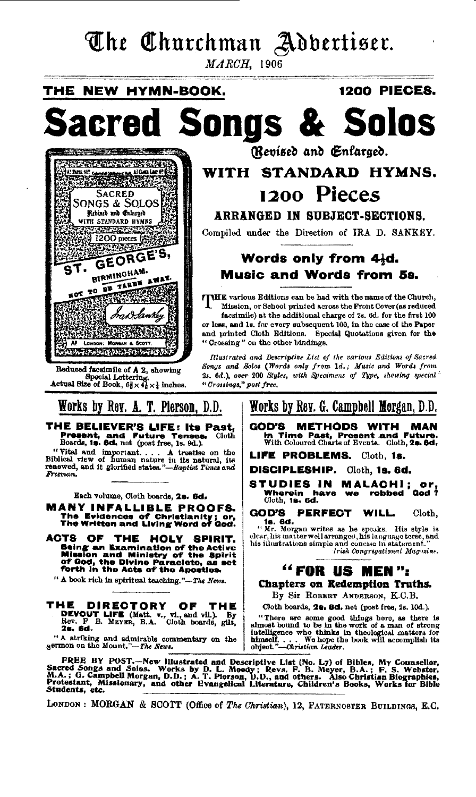# The Churchman Adbertiser.

 $MARCH$ , 1906

**1200 PIECES.** THE NEW HYMN-BOOK. d Songs & Solos acre (Revised and Enfaraed. **Contract Contract Contract Contract Contract Contract Contract Contract Contract Contract Contract Contract Co** At her 4!" compared to a store the P. WITH STANDARD HYMNS. 1200 Pieces **SACRED** Songs & Solos Rebined and Enlarged **EXECUTE AND ITEMS**<br>201200 pieces<br>201200 pieces (20120 **ARRANGED IN SUBJECT-SECTIONS.** Compiled under the Direction of IRA D. SANKEY. GEORGE'S, Words only from 4½d. τ. **BIRMINGHAM. Music and Words from 5s.** NOT TO BE TAKEN AWAY. THE various Editions can be had with the name of the Church, RTN. Mission, or School printed across the Front Cover (as reduced i3h facsimile) at the additional charge of 2s. 6d. for the first 100 or less, and is, for every subsequent 100, in the case of the Paper and printed Cloth Editions. Special Quotations given for the "Crossing" on the other bindings. -88 LONDON: MORGAN & SCOT **Strip Adams Parts** Illustrated and Descriptive List of the various Editions of Sacred Reduced facsimile of A 2, showing Songs and Solos (Words only from 1d.; Music and Words from 2s. 6d.), over 200 Styles, with Specimens of Type, showing special Special Lettering.<br>Actual Size of Book,  $6\frac{3}{8} \times 4\frac{1}{8} \times \frac{1}{8}$  inches. "Crossings," post free, Works by Rev. A. T. Pierson, D.D. Works by Rev. G. Campbell Morgan, D.D. THE BELIEVER'S LIFE: Its Past, GOD'S METHODS WITH MAN Present, and Future Tenses<br>Boards, 18. 8d. net (post free, 1s. 9d.). **Future Tenses** In Time Past, Present and Future.<br>With Coloured Charts of Events. Cloth, 20. 6d. Cioth "Vital and important.... A treatise on the Biblical view of human nature in its natural, its renewed, and it glorified states."-Baptist Times and LIFE PROBLEMS. Cloth. 1s. DISCIPLESHIP. Cloth, 1s. 6d. STUDIES IN MALACHI; Or,<br>Studies in Malachi; or, Freeman. Wherein have<br>Cloth, 19, 6d. Each volume, Cloth boards, 28. 6d. **MANY INFALLIBLE PROOFS.** GOD'S PERFECT WILL The Evidences of Christianity; or,<br>The Written and Living Word of God. Cloth. 16. 6d.  $\cdots$   $\cdots$   $\cdots$   $\cdots$   $\cdots$   $\cdots$   $\cdots$   $\cdots$   $\cdots$   $\cdots$   $\cdots$   $\cdots$   $\cdots$   $\cdots$   $\cdots$   $\cdots$   $\cdots$   $\cdots$   $\cdots$   $\cdots$   $\cdots$   $\cdots$   $\cdots$   $\cdots$   $\cdots$   $\cdots$   $\cdots$   $\cdots$   $\cdots$   $\cdots$   $\cdots$   $\cdots$   $\cdots$   $\cdots$   $\cdots$   $\cd$ ACTS OF THE HOLY SPIRIT. Being an Examination of the Active<br>Mission and Ministry of the Spirit<br>of God, the Divine Paraclete, as set<br>forth in the Acts of the Apostles. Irish Congregational Magnine. "FOR US MEN": " A book rich in spiritual teaching."-The News. Chapters on Redemption Truths. By Sir ROBERT ANDERSON, K.C.B. THE **DIRECTORY** OF **THE** Cloth boards, 20. 8d. net (post free, 2s. 10d.). DEVOUT LIFE (Matt. v., vi., and vil.). By<br>Rev. F B. MEYER, B.A. Cloth boards, glit, 28. 6d.

"There are some good things here, as there is almost bound to be in the work of a man of strong intelligence who thinks in theological matters for himself, ... himself. . . . We hope the object."-Christian Leader.

FREE BY POST.—New lliustrated and Descriptive List (No. L7) of Bibles, My Counsellor, Sacred Songs and Solos. Works by D. L. Moody; Revs. F. B. Weyer, B.A.; F. S. Webster, M.A.; G. Campbell Morgan, D.D.; A. T. Pierson, D.D Students, etc.

"A striking and admirable commentary on the sermon on the Mount."-The News.

LONDON: MORGAN & SCOTT (Office of The Christian), 12, PATERNOSTER BUILDINGS, E.C.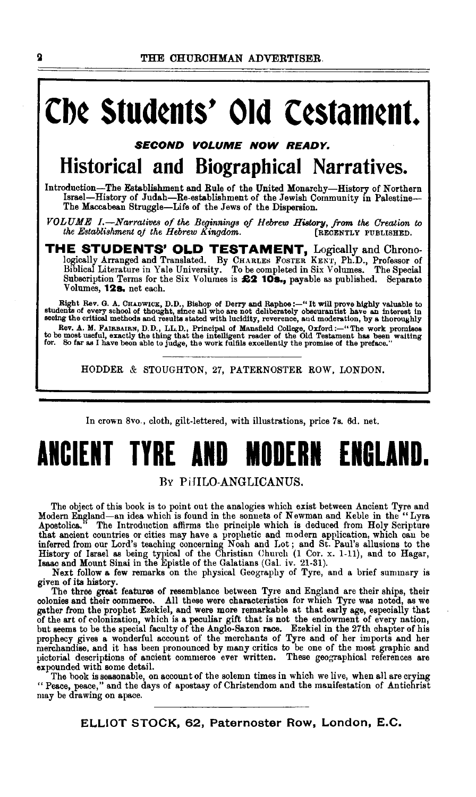# **Cb¢ StUd¢nts' Old C¢Stam¢nt.**

*SECOND VOLUME NOW READY.* 

## **Historical and Biographical Narratives.**

Introduction-The Establishment and Rule of the United Monarchy-History of Northern Israel—History of Judah—Re-establishment of the Jewish Community in Palestine---<br>The Maccabean Struggle—Life of the Jews of the Dispersion.

*VOLUME 1.*—Narratives of the Beginnings of Hebrew History, from the Creation to the Establishment of the Hebrew Kingdom. [RECENTLY PUBLISHED. *the Establishment of the Hebrew Kingdom.* 

**THE STUDENTS' OLD TESTAMENT,** Logically and Chrono-logically Arranged and Translated. By CHARLES FosTER KENT, Ph.D., Professor of Biblical Literature in Yale University. To be completed in Six Volumes\_ The Special Subscription Terms for the Six Volumes is **£2 10s.**, payable as published. Separate Volumes, **12s.** net each.

Right Rev. G. A. CHADWICK, D.D., Bishop of Derry and Raphoe :--" It will prove highly valuable to students of every school of thought, since all who are not deliberately obscurantist have an interest in seeing the critical Rev. A. M. FAIRBAIRN, D.D., LL.D., Principal of Mansfield College, Oxford:—"The work promises to be most useful, exactly the thing that the intelligent reader of the Old Testament has been waiting for. So far as I have bee

HODDER & STOUGHTON, 27, PATERNOSTER ROW, LONDON.

In crown 8vo., cloth, gilt-lettered, with illustrations, price 7s. 6d. net.

# **ANCIENT TYRE AND MODERN ENGLAND.**

### RY PiHLO-ANGLICANUS.

The object of this book is to point out the analogies which exist between Ancient Tyre and Modern England-an idea which is found in the sonnets of Newman and Keble in the "Lyra Apostolica." The Introduction affirms the principle which is deduced from Holy Scripture that ancient countries or cities may have a prophetic and modern application, which can be inferred from our Lord's teaching concerning Noah and Lot; and St. Paul's allusions to the History of Israel as being typical of th

given of its history.

The three great features of resemblance between Tyre and England are their ships, their colonies and their commerce. All these were characteristics for which Tyre was noted, as we colonies and their commerce. Their these were characteristics for which Tyre was noted, as we gather from the prophet Ezekiel, and were more remarkable at that early age, especially that of the art of colonization, which is a peculiar gift that is not the endowment of every nation,<br>but seems to be the special faculty of the Anglo-Saxon race. Ezekiel in the 27th chapter of his<br>prophecy gives a wonderful acc pictorial descriptions of ancient commerce ever written. These geographical references are expounded with some detaiL

The book is seasonable, on account of the solemn times in which we live, when all are crying " Peace, peace," and the days of apostasy of Christendom and the mauifestation of Antichrist may be drawing on apace.

**ELLIOT STOCK, 62, Paternoster Row, London, E.C.**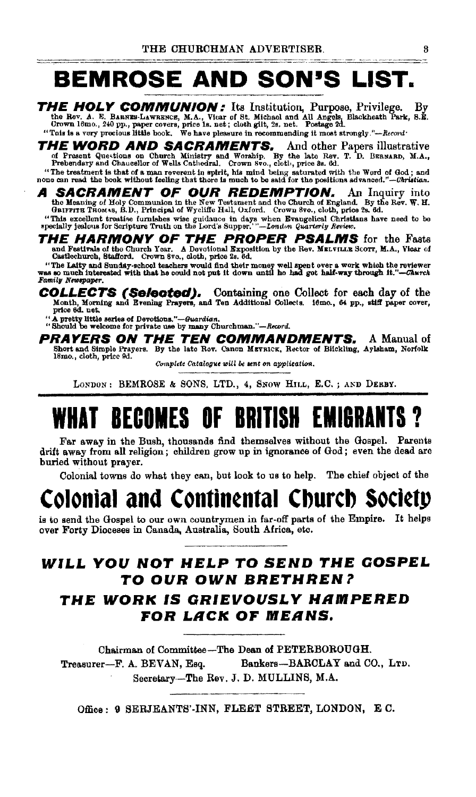### **BEMROSE AND SON'S LIST.**

THE HOLY COMMUNION: Its Institution, Purpose, Privilege. By the Rev. A. E. BARNES-LAWRENCE, M.A., Vicar of St. Michael and All Angels, Blackheath Park, S.E. Crown 18mo., 240 pp., paper covers, price is, net; cloth gilt, 2s

**THE WORD AND SACRAMENTS.** And other Papers illustrative of Present Questions on Church Ministry and Worship. By the late Rev. T. D. BERNARD, M.A., Present questions on Church Ministry and Worship. By the late Rev. T. D. B

SACRAMENT OF OUR REDEMPTION. An Inquiry into the Meaning of Holy Communion in the New Testament and the Church of England. By the Rev. W. H. GRIFFITE THOMAS, B.D., Principal of Wycliffe Hall, Oxford. Crown 8vo., cloth, price 2s. 6d.

"This excellent treatise furnishes wise guidance in days when Evangelical Christians have need to be specially jealous for Scripture Truth on the Lord's Supper.'"-London Quarterly Review.

HE HARMONY OF THE PROPER PSALMS for the Fasts<br>and Festivals of the Church Year. A Devotional Exposition by the Rev. MELVILLE SCOTT, M.A., Viear of<br>Castlechurch, Stafford. Crown 8vo., cloth, price 2s. 8d.

"The Laity and Sunday-school teachers would find their money well spent over a work which the reviewer<br>was so much interested with that he could not put it down until he had got half-way through it."--Church Family Newspaper.

**COLLECTS (Selected).** Containing one Collect for each day of the Month, Morning and Brening Prayers, and Ten Additional Collects. 18mo., 64 pp., stiff paper cover,

A pretty little series of Devotions."—Guardian.

"Should be welcome for private use by many Churchman."-Record.

**TEN COMMANDMENTS.** PRAYERS ON THE A Manual of Short and Simple Prayers. By the late Rov. Canon MEYRICK, Rector of Biickling, Aylaham, Norfolk 18mo., cloth, price 9d.

Complete Catalogue will be sent on application.

LONDON: BEMROSE & SONS, LTD., 4, SNOW HILL, E.C.; AND DERBY.

## *RECOMES OF BRITISH* FMIRRANT

Far away in the Bush, thousands find themselves without the Gospel. Parents drift away from all religion; children grow up in ignorance of God; even the dead are buried without prayer.

Colonial towns do what they can, but look to us to help. The chief object of the

# Colonial and Continental Church Society

is to send the Gospel to our own countrymen in far-off parts of the Empire. It helps over Forty Dioceses in Canada, Australia, South Africa, etc.

## WILL YOU NOT HELP TO SEND THE GOSPEL TO OUR OWN BRETHREN?

## THE WORK IS GRIEVOUSLY HAMPERED FOR LACK OF MEANS.

Chairman of Committee-The Dean of PETERBOROUGH. Treasurer-F. A. BEVAN, Esq. Bankers-BARCLAY and CO., LTD. Secretary-The Rev. J. D. MULLINS, M.A.

Office: 9 SERJEANTS'-INN, FLEET STREET, LONDON, E.C.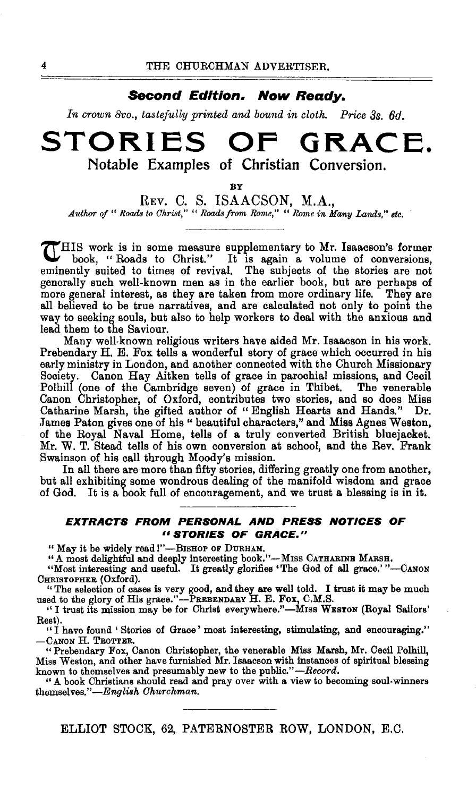### **Second Edition. Now Ready.**

*In crown Bvo., tastefully printed and bound in cloth. Price 38. 6d.* 

## **STORIES OF GRACE. Notable Examples of Christian Conversion.**

BY

REv. C. S. ISAACSON, M.A., Author of " Roads to Christ," " Roads from Rome," " Rome in Many Lands," etc.

THIS work is in some measure supplementary to Mr. Isaacson's former book, "Roads to Christ." It is again a volume of conversions, eminently suited to times of revival. The subjects of the stories are not generally such well-known men as in the earlier book, but are perhaps of more general interest, as they are taken from more ordinary life. They are all believed to be true narratives, and are calculated not only to point the way to seeking souls, but also to help workers to deal with the anxious and lead them to the Saviour.

Many well-known religious writers have aided Mr. Isaacson in his work. Prebendary H. E. Fox tells a wonderful story of grace which occurred in his early ministry in London, and another connected with the Church Missionary Society. Canon Hay Aitken tells of grace in parochial missions, and Cecil Polhill (one of the Cambridge seven) of grace in Thibet. The venerable Canon Christopher, of Oxford, contributes two stories, and so does Miss Catharine Marsh, the gifted author of " English Hearts and Hands." Dr. James Paton gives one of his " beautiful characters," and Miss Agnes Weston, of the Royal Naval Home, tells of a truly converted British bluejacket. Mr. W. T. Stead tells of his own conversion at school, and the Rev. Frank Swainson of his call through Moody's mission.

In all there are more than fifty stories, differing greatly one from another, but all exhibiting some wondrous dealing of the manifold wisdom and grace of God. It is a book full of encouragement, and we trust a blessing is in it.

### **EXTRACTS FROM PERSONAL AND PRESS NOTICES OF**  *<sup>11</sup>***STORIES OF GRACE."**

"May it be widely read!"-BISHOP OF DURHAM.

"A most delightful and deeply interesting book."--MISS CATHARINE MARSH.<br>"Most interesting and useful. It greatly glorifies 'The God of all grace.'"---CANON CHRISTOPHER (Oxford).

'' The selection of cases is very good, and they are well told. I trust it may be much used to the glory of His grace."-PREBENDARY H. E. Fox, C.M.S.

"I trust its mission may be for Christ everywhere."-MISS WESTON (Royal Sailors' Rest).

"I have found 'Stories of Grace' most interesting, stimulating, and encouraging." -CANON H. TROTTER.

"Prebendary Fox, Canon Christopher, the venerable Miss Marsh, Mr. Cecil Polhill, Miss Weston, and other have furnished Mr. Isaacson with instances of spiritual blessing known to themselves and presumably new to the public."-Record.

"A book Christians should read and pray over with a view to becoming soul-winners themselves." $-English\:Churchman.$ 

ELLIOT STOCK, 62, PATERNOSTER ROW, LONDON, E.C.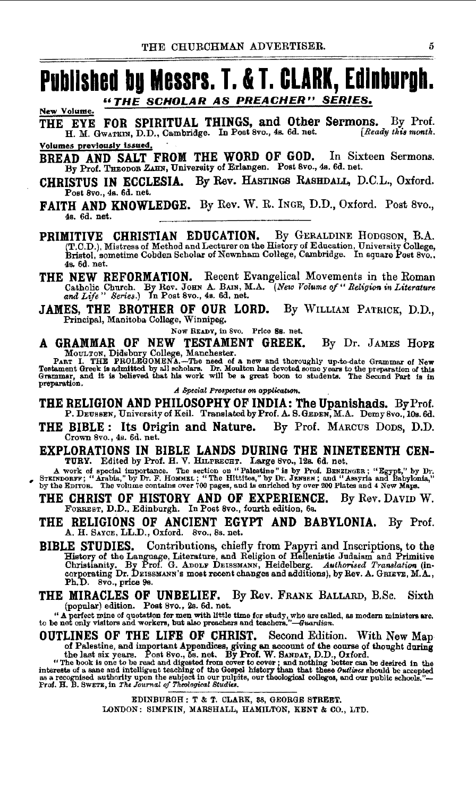## **Published by Messrs. T. & T. CLARK, Edinburgh.** *UTHE SCHOLAR AS PREACHER" SERIES.*

New Volume. THE EYE FOR SPIRITUAL THINGS, and Other Sermons. By Prof. H. M. GwATKIN, D.D., Cambridge. In Post Svo., 4a. 6d. net. *[Readv this month.* 

Volumes previously issued.

BREAD AND SALT FROM THE WORD OF GOD. In Sixteen Sermons. By Prof. THEODOR ZAHN, University of Erlangen. Post Svo., 4s. 6d. net.

CHRISTUS IN ECCLESIA. By Rev. HASTINGS RASHDALL, D.C.L., Oxford. Post SVo., 4s. 6d. net.

FAITH AND KNOWLEDGE. By Rev. W. R. INGE, D.D., Oxford. Post 8vo., 4s. 6d. net.

PRIMITIVE CHRISTIAN EDUCATION. By GERALDINE HODGSON, B.A. (T.C.D.), Mistress of Method and Lecturer on the History of Education, University College,<br>Bristol, sometime Cobden Scholar of Newnham College, Cambridge. In square Post 8vo., 4a. 6d. net.

- THE NEW REFORMATION. Recent Evangelical Movements in the Roman Catholic Church. By Rev. JOHN A. BAIN, M.A. *(New Volume of* " *Religion in Literature and Life*" *Series.*) In Post 8vo., 4s. 6d, net.
- JAMES, THE BROTHER OF OUR LORD. By WILLIAM PATRICK, D.D., Principal, Manitoba College, Winnipeg.

Now READY, in Svo. Price Ss. net.<br>A GRAMMAR OF NEW TESTAMENT GREEK.

A GRAMMAR OF NEW TESTAMENT GREEK. By Dr. JAMES HOPE<br>
MOULTON, Didsbury College, Manchester.<br>
PART I. THE PROLEGOMENA...-The need of a new and thoroughly up-to-date Grammar of New<br>
Testament Greek is admitted by all scholar

THE RELIGION AND PHILOSOPHY OF INDIA: The Upanishads. By Prof.<br>P. Deussen, University of Keil. Translated by Prof. A. S. Gener, M.A. Demy 8vo., 10s. 6d.

- THE BIBLE: Its Origin and Nature. By Prof. MARCUS Dons, D.D. Crown Svo., 4s. 6d. net.
- EXPLORATIONS IN BIBLE LANDS DURING THE NINETEENTH CEN-<br>TURY. Edited by Prof. H. V. HILPRECHT. Large 8vo., 12s. 6d. net.

A work of special importance. The section on "Palestine" is by Prof. BENZINGER; "Egypt," by Dr.<br>FIRINDORFF; "Arabia," by Dr. F. Hommet : "The Hittles," by Dr. JENSEN; and Babylonia,"<br>by the Epiros. The volume contains over

- THE CHRIST OF HISTORY AND OF EXPERIENCE. By Rev. DAVID W. FoRREST, D.D., Edinburgh. In Post SVo., fourth edition, 6s.
- THE RELIGIONS OF ANCIENT EGYPT AND BABYLONIA. By Prof. A. H. SAYeE, LL.D., Oxford. Svo., Ss. net.
- BIBLE STUDIES. Contributions, chiefly from Papyri and Inscriptions, to the History of the Language, Literature, and Religion of Hellenistic Judaism and Primitive<br>Christianity. By Prof. G. ADOLF DEISSMANN, Heidelberg. Authorised Translation (in-<br>corporating Dr. DEISSMANN's most recent changes and Ph.D. 8vo., price 9s.
- THE MIRACLES OF UNBELIEF. By Rev. FRANK BALLARD, B.Sc. Sixth (popular) edition. Post Svo., 2a. 6d. net.

" (beyond the of quotation for men with little time for study, who are called, as modern ministers are.<br>to be not only visitors and workers, but also preachers and teachers." --61111412.

OUTLINES OF THE LIFE OF CHRIST. Second Edition. With New Map

of Palestine, and important Appondices, giving an account of the course of thought during<br>the last six years. Post 8vo., 5s. net. By Prof. W. SANDAY, D.D., Oxford.<br>"The book is one to be read and digested from cover to co

EDINBURGH: T & T. CLARK, 88, GEORGE STREET. LONDON: SIMPKIN, MARSHALL, HAMILTON, KENT & CO., LTD.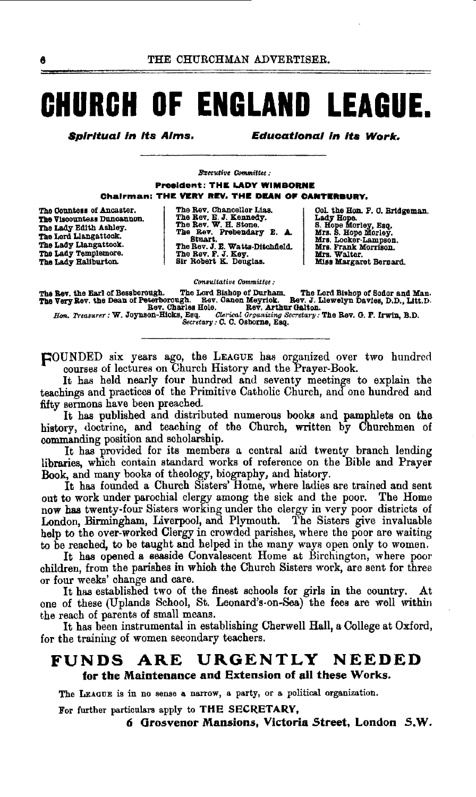# **CHURCH OF ENGLAND LEAGUE.**

**Spiritual in its Alms.** 

**Educational in its Work.** 

**Brecutive Committee:** 

**President: THE LADY WIMBORNE** Chairman: THE VERY REV. THE DEAN OF CANTERBURY.

The Countess of Ancaster. The Viscountess Duncannon. The Lady Edith Ashley. The Lord Liangattock. The Lady Llangattook.<br>The Lady Templemore. The Lady Hallburton.

| The Rev. Chancellor Lias.        |
|----------------------------------|
| The Rev. E. J. Kennedy.          |
| The Rev. W. H. Stone.            |
| The Rev. Prebendary E. A.        |
| Stuart.                          |
| The Rev. J. E. Watts-Ditchfield. |
| The Rev. F. J. Key.              |
| Sir Robert K. Douglas.           |

Col. the Hon. F. C. Bridgeman. Control Bank F. O. Bridge<br>
S. Hope Morley, Esq.<br>
S. Hope Morley, Esq.<br>
Mrs. S. Hope Morley.<br>
Mrs. E. Locker-Lampson.<br>
Mrs. Frank Morrison.<br>
Mrs. Walter.<br>
Miss Margaret Bernard.

Consultative Committee:

The Eev, the Earl of Bessborough. The Lord Bishop of Durham. The Lord Bishop of Sodor and Man.<br>The Very Rev. the Dean of Peterborough. Eev. Clanon Meyrick. Bev. J. Llewelyn Davies, D.D., Litt.D.<br>Bev. Charles Hole. Rev. Art

HOUNDED six years ago, the LEAGUE has organized over two hundred courses of lectures on Church History and the Prayer-Book.

It has held nearly four hundred and seventy meetings to explain the teachings and practices of the Primitive Catholic Church, and one hundred and fifty sermons have been preached.

It has published and distributed numerous books and pamphlets on the history, doctrine, and teaching of the Church, written by Churchmen of commanding position and scholarship.

It has provided for its members a central and twenty branch lending libraries, which contain standard works of reference on the Bible and Prayer Book, and many books of theology, biography, and history.

It has founded a Church Sisters' Home, where ladies are trained and sent out to work under parochial clergy among the sick and the poor. The Home now has twenty-four Sisters working under the clergy in very poor districts of London, Birmingham, Liverpool, and Plymouth. The Sisters give invaluable help to the over-worked Clergy in crowded parishes, where the poor are waiting to be reached, to be taught and helped in the many ways open only to women.

It has opened a seaside Convalescent Home at Birchington, where poor children, from the parishes in which the Church Sisters work, are sent for three or four weeks' change and care.

It has established two of the finest schools for girls in the country. At one of these (Uplands School, St. Leonard's-on-Sea) the fees are well within the reach of parents of small means.

It has been instrumental in establishing Cherwell Hall, a College at Oxford, for the training of women secondary teachers.

#### **NEEDED** URGENTLY **FUNDS** ARE for the Maintenance and Extension of all these Works.

The LEAGUE is in no sense a narrow, a party, or a political organization.

For further particulars apply to THE SECRETARY,

6 Grosvenor Mansions, Victoria Street, London S.W.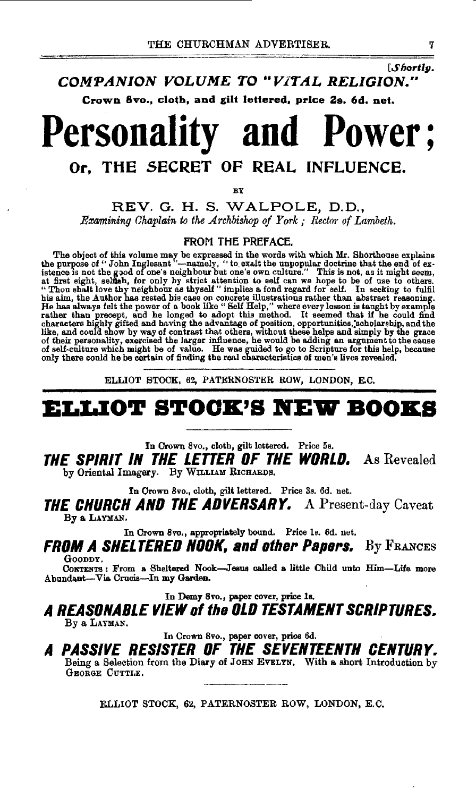[Shortly.

COMPANION VOLUME TO "VITAL RELIGION."

Crown 8vo., cloth, and gilt lettered, price 2s. 6d. net.

# **Personality and Power:** Or. THE SECRET OF REAL INFLUENCE.

RV

REV. G. H. S. WALPOLE, D.D., Examining Chaplain to the Archbishop of York; Rector of Lambeth.

### FROM THE PREFACE.

**The object of this volume may be expressed in the words with which Mr. Shorthouse explains<br>the purpose of "John Inglesant "—namely, "to exact the unpopular doctrine that the end of ex-<br>istence is not the good of one's ne** 

ELLIOT STOCK, 62, PATERNOSTER ROW, LONDON, E.C.

## ELLIOT STOCK'S NEW BOOKS

In Crown 8vo., cloth, gilt lettered. Price 5s.

THE SPIRIT IN THE LETTER OF THE WORLD. As Revealed by Oriental Imagery. By WILLIAM RICHARDS.

In Crown 8vo., cloth, gilt lettered. Price 3s. 6d. net.

**THE CHURCH AND THE ADVERSARY.** A Present-day Caveat By a LAYMAN.

In Crown 8vo., appropriately bound. Price 1s. 6d. net.

**FROM A SHELTERED NOOK, and other Papers.** By FRANCES GOODDY.

CONTENTS: From a Sheltered Nook-Jesus called a little Child unto Him-Life more Abundant-Via Crucis-In my Garden.

In Demy 8vo., paper cover, price 1s.

A REASONABLE VIEW of the OLD TESTAMENT SCRIPTURES. By a LAYMAN.

In Crown 8vo., paper cover, price 6d.

A PASSIVE RESISTER OF THE SEVENTEENTH CENTURY. Being a Selection from the Diary of JOHN EVELYN. With a short Introduction by GEORGE CUTTLE.

ELLIOT STOCK, 62, PATERNOSTER ROW, LONDON, E.C.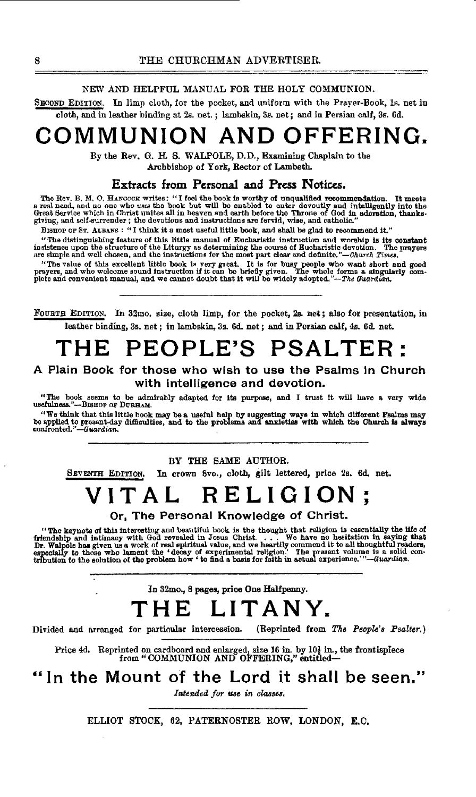### NEW AND HELPFUL MANUAL FOR THE HOLY COMMUNION.

SECOND EDITION. In limp cloth, for the pocket, and uniform with the Prayer-Book, ls. net in cloth, and in leather binding at 2s. net. ; lambskin, 3s. net; and in Persian calf, 3s. 6d.

# **COMMUNION AND OFFERING.**

By the Rev. G. H. S. WALPOLE, D. D., Examining Chaplain to the Archbishop of York, Rector of Lambeth.

### Extracts from Personal and Press Notices.

The Rev. B. M. O. HANCOCK writes: "I foel the book is worthy of unqualified recommendation. It meets<br>a real need, and no one who uses the book but will be enabled to enter devoutly and intelligently into the<br>Great Service

BisHoP OF ST. ALBANS : "I think it a most useful little book, and shall be glad te recommend it."

"The distinguishing feature of this little manual of Eucharistic instruction and worship is its constant insistence upon the structure of the Liturgy as determining the course of Eucharistic devotion. The prayers are simp

"The value of this excellent little book is very great. It is for busy people who want short and good who want and good instruction if it can be briefly given. The when the proper sound instruction if it can be briefly gi

FOURTH EDITION. In 32mo. size, cloth limp, for the pocket, 2s. net; also for presentation, in leather binding, 3s. net; in lambskin, 3s. 6d. net; and in Persian calf, 4s. 6d. net.

# **THE PEOPLE'S PSALTER:**

### A Plain Book for those who wish to use the Psalms In Church with intelligence and devotion.

"The book seems to be admirably adapted for its purpose, and I trust it will have a very wide<br>uscfulness."---BISHOP OF DURHAM.

"We think that this little book may be a useful help by suggesting ways in which different Psalms may<br>be applied to present-day difficulties, and to the problems and anxieties with which the Church is always<br>confronted."—

### BY THE SAME AUTHOR.

SEVENTH EDITION. In crown Svo., cloth, gilt lettered, price 2s. 6d. net.

# **VITAL RELIGION;**

### Or, The Personal Knowledge of Christ.

"The keynote of this interesting and beautiful book is the thought that religion is essentially the life of friendship and intimacy with God revealed in Josus Christ. . . . . We have no hesitation in saying that  $\frac{1}{2}$  if the ket friendship<br>Dr. Walpo<br>especially<br>tribution t Walpole has given us a work of real spiritual value, and we heartily commond it to all thoughtful readers,<br>of all thoughtful readers, the coast of experimental religion.<br>"The present volume is a solid contribution to the p

In 32mo., 8 pages, price One Halfpenny.

## **THE LITANY.**

Divided and arranged for particular intercession. (Reprinted from *The People's Psalter.)* 

Price 4d. Reprinted on cardboard and enlarged, size 16 in. by 10 $\frac{1}{2}$  in., the frontispiece from "COMMUNION AND OFFERING," entitled--

## In the Mount of the Lord it shall be seen."

Intended for use in classes.

ELLIOT STOCK, 62, PATERNOSTER ROW, LONDON, E.O.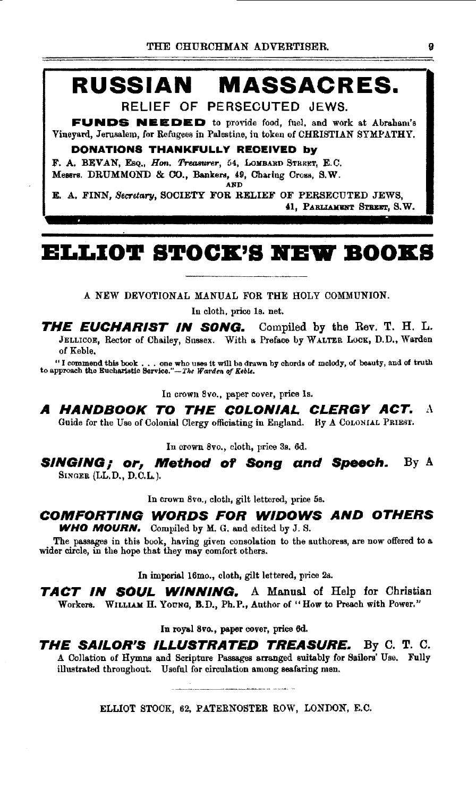# **RUSSIAN MASSACRES.**

RELIEF OF PERSECUTED JEWS.

**FUNDS NEEDED** to provide food, fuel, and work at Abraham's Vineyard, Jerusalem, for Refugees in Palestine, in token of CHRISTIAN SYMPATHY.

### **DONATIONS THANKFULLY RECEIVED by**

F. A. BEVAN, Esq., *Hon. Treasurer*, 54, LOMBARD STREET, E.C. Messrs. DRUMMOND & CO., Bankers, 49, Charing Cross, S.W. AND

E. A. FINN, *Secretary,* SOCIETY FOR RELIEF OF PERSECUTED JEWS,

41, PARLIAMENT STREET, S.W.

## **ELLIOT STOCK'S KBW BOOKS**

A NEW DEVOTIONAL MANUAL FOR THE HOLY COMMUNION.

In cloth, price ls. net.

**THE EUCHARIST IN SONG.** Compiled by the Rev. T. H. L. JELLICOE, Rector of Chailey, Sussex. With a Preface by WALTER LOCK, D.D., Warden of Keble.

"I commend this book ••• one who uses it wUI be drawn by chords of melody, of beauty, and of truth to approach the ll:ucharlstlc Service."-Tke *Wao·dm of Keble.* 

In crown 8vo., paper cover, price ls.

**A HANDBOOK TO THE COLONIAL CLERGY ACT.** A Guide for the Use of Colonial Clergy officiating in England. Hy A CoLONIAL PRIEST.

In crown 8vo., cloth, price Ss. 6d.

**SINGING; or, Method of Song and Speech.** By A SINGER (LL.D., D.C.L.).

In crown 8vo., cloth, gilt lettered, price 5s.

### **COMFORTING WORDS FOR WIDOWS AND OTHERS WHO MOURN.** Compiled by M. G. and edited by J. S.

The passages in this book, having given consolation to the authoress, are now offered to a wider circle, in the hope that they may comfort others.

In imperial 16mo., cloth, gilt lettered, price 2s.

**TACT IN SOUL WINNING.** A Manual of Help for Christian Workers. WILLIAM H. YOUNG, B.D., Ph.P., Author of "How to Preach with Power."

In royal 8vo., paper cover, price 6d.

**THE SAILOR'S ILLUSTRATED TREASURE.** By C. T. C. A Collation of Hymns and Scripture Passages arranged suitably for Sailors' Use. Fully illustrated throughout. Useful for circulation among seafaring men.

ELLIOT STOCK, 62, PATERNOSTER ROW, LONDON, E.C.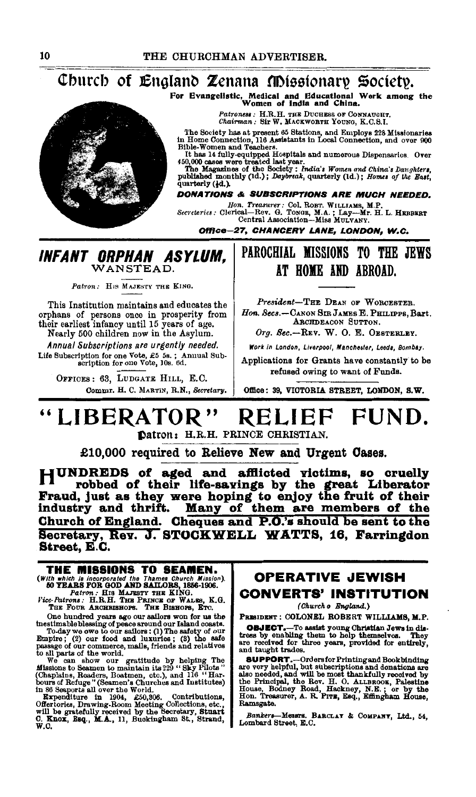Church of England Zenana Missionary Society.

For Evangelistic, Medical and Educational Work among the Women of India and China.

Patroness : H.R.H. THE DUCHESS OF CONNAUGHT.<br>Chairman : Sir W. MACKWORTH YOUNG, K.C.S.I.

The Society has at present 65 Stations, and Employs 228 Missionaries<br>in Home Connection, 116 Assistants in Local Connection, and over 900<br>Bible-Women and Teachers.

Disco women and results and numerous Dispensaries. Over<br>450,000 cases were treated last year.<br>The Magazines of the Society: India's Women and China's Daughters,<br>The Magazines of the Society: India's women of the East,<br>publ quarterly (4d.).

**DONATIONS & SUBSCRIPTIONS ARE MUCH NEEDED.** 

Hon. Treasurer: Col. ROBT. WILLIAMS, M.P.<br>Secretaries: Clerical—Rev. G. TONGE, M.A.; Lay-Mr. H.L. HEBBERT<br>Central Association—Miss MULVANY.

Office-27, CHANCERY LANE, LONDON, W.C.

### INFANT ORPHAN ASYLUM. WANSTEAD.

Patron: His MAJESTY THE KING.

This Institution maintains and educates the or the state of persons once in prosperity from<br>their earliest infancy until 15 years of age.<br>Nearly 500 children now in the Asylum.

Annual Subscriptions are urgently needed. Life Subscription for one Vote, £5 5s.; Annual Subscription for one Vote, 10s. 6d.

OFFICES: 63, LUDGATE HILL, E.C. Commr. H. C. MARTIN, R.N., Secretary.

## PAROCHIAL MISSIONS TO THE JEWS AT HOME AND ABROAD.

President-THE DEAN OF WORCESTER. Hon. Secs.-CANON SIR JAMES E. PHILIPPS, Bart. ARCHDEACON SUTTON.

Org. Sec.-REV. W. O. E. OESTERLEY.

Work in London, Liverpool, Manchester, Leeds, Bombay.

Applications for Grants have constantly to be refused owing to want of Funds.

Office: 39, VICTORIA STREET, LONDON, S.W.

#### "LIBERATOR" FUND. RELIEF

Datron: H.R.H. PRINCE CHRISTIAN.

£10,000 required to Relieve New and Urgent Cases.

HUNDREDS of aged and afflicted victims, so cruelly Il robbed of their life-savings by the great Liberator<br>Fraud, just as they were hoping to enjoy the fruit of their Many of them are members of the industry and thrift. Church of England. Cheques and P.O.'s should be sent to the Secretary, Rev. J. STOCKWELL WATTS, 16, Farringdon Street, E.C.

# THE MISSIONS TO SEAMEN. (With which is incorporated the Thames Church Mission).<br>50 YEARS FOR GOD AND SAILORS, 1856-1906.<br>Fairon: HIS MAJESTY THE KING.<br>Fice-Patrons: H.R.H. THE PRINCE OF WALES, K.G.<br>THE FOUR ARCHENSHOPS. THE BEHOPS, ETC.

Finally constant and parts ago our salibra won for us the<br>thestimable blessing of peace around our Island coasts.<br>To-day we owe to our salibrs : (1) The safety of our<br>Empire; (2) our food and luxuries; (3) the base<br>passage

to all parts of the world.<br>We can show our gratitude by helping The We can show our gratitude by the<br>Missions to Seamen to maintain its 229 "Sky Pilots"<br>(Chaplains, Readers, Boatmen, etc.), and 116 "Har-<br>bours of Refuge"

## **OPERATIVE JEWISH CONVERTS' INSTITUTION**

(Church o England.)

PRESIDENT : COLONEL ROBERT WILLIAMS, M.P.

**OBJECT.**-To assist young Christian Jews in distress by enabling them to help themselves. They are received for three years, provided for entirely, and taught trades.

and any are about and solutions and Bookbinding<br>are very helpful, but subscriptions and donations are<br>also needed, and will be most thankfully received by<br>the Principal, the Rev. H. O. ALLEROOK, Palestine<br>House, Bodney Roa Ramsgate.

Bankers-Messrs. BARCLAY & COMPANY, Ltd., 54, Lombard Street, E.C.

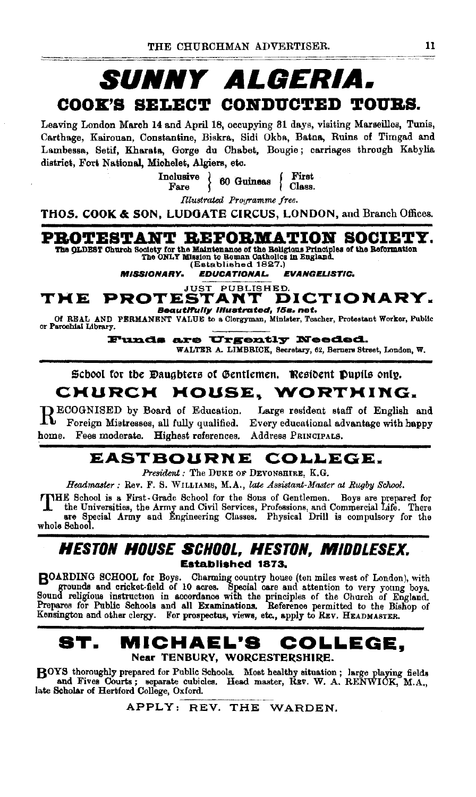# **SUNNY ALGERIA.** COOK'S SELECT CONDUCTED TOURS.

Leaving London March 14 and April 18, occupying 31 days, visiting Marseilles, Tunis, Carthage, Kairouan, Constantine, Biskra, Sidi Okba, Batna, Ruins of Timgad and Lambessa, Setif, Kharata, Gorge du Chabet, Bougie; carriages through Kabylia district, Fort National, Michelet, Algiers, etc.

Inclusive  $\Big\}$  60 Guineas First  $\frac{1}{2}$  Class.

Illustrated Programme free.

**THOS. COOK & SON. LUDGATE CIRCUS, LONDON, and Branch Offices.** 

## PROTESTANT REFORMATION SOCIETY.

The QLDEST Church Society for the Maintenance of the Religious Principles of the Reformation The ONLY Mission to Roman Catholics in England.

(Established 1827.)

**MISSIONARY. EDUCATIONAL. EVANGELISTIC.** 

**PROTESTANT D** DICTIONARY. THE Beautifully illustrated, 15s. net.

Of REAL AND PERMANENT VALUE to a Clergyman, Minister, Teacher, Protestant Worker, Public or Parochial Library.

> Funds are Urgently Needed. WALTER A. LIMBRICK, Secretary, 62, Berners Street, London, W.

School for the Dauabters of Gentlemen. Resident Dupils only.

#### CHURCH HOUSE, WORTHING.

RECOGNISED by Board of Education.<br>Reference Mistrosses all fully qualified Foreign Mistresses, all fully qualified. Fees moderate. Highest references. home.

Large resident staff of English and Every educational advantage with happy Address PRINCIPALS.

#### **EASTBOURNE** COLLEGE.

President : The DUKE OF DEVONSHIRE, K.G.

Headmaster : Rev. F. S. WILLIAMS, M.A., late Assistant-Master at Rugby School.

TTHE School is a First-Grade School for the Sons of Gentlemen. Boys are prepared for n commercial Life. There the Army and Civil Services, Professions, and Commercial Life. There are Special Army and Engineering Classes. Physical Drill is compulsory for the whole School.

### **HESTON HOUSE SCHOOL, HESTON, MIDDLESEX. Established 1873.**

BOARDING SCHOOL for Boys. Charming country house (ten miles west of London), with grounds and cricket-field of 10 acres. Special care and attention to very young boys. Sound religious instruction in accordance with the pri Kensington and other clergy. For prospectus, views, etc., apply to REV. HEADMASTER.

#### ST. MICHAEL'S COLLEGE. Near TENBURY, WORCESTERSHIRE.

BOYS thoroughly prepared for Public Schools. Most healthy situation; large playing fields and Fives Courts; separate oubicles. Head master, REV. W. A. RENWICK, M.A., late Scholar of Hertford College, Oxford.

APPLY: REV. THE WARDEN.